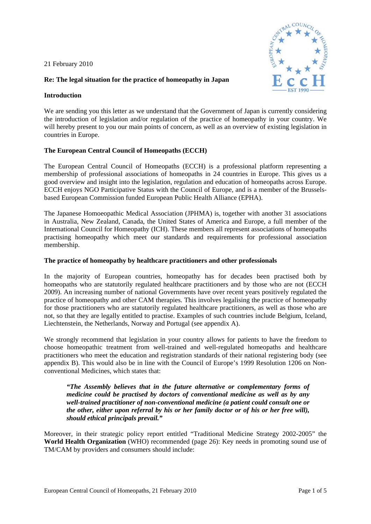21 February 2010



# **Re: The legal situation for the practice of homeopathy in Japan**

### **Introduction**

We are sending you this letter as we understand that the Government of Japan is currently considering the introduction of legislation and/or regulation of the practice of homeopathy in your country. We will hereby present to you our main points of concern, as well as an overview of existing legislation in countries in Europe.

## **The European Central Council of Homeopaths (ECCH)**

The European Central Council of Homeopaths (ECCH) is a professional platform representing a membership of professional associations of homeopaths in 24 countries in Europe. This gives us a good overview and insight into the legislation, regulation and education of homeopaths across Europe. ECCH enjoys NGO Participative Status with the Council of Europe, and is a member of the Brusselsbased European Commission funded European Public Health Alliance (EPHA).

The Japanese Homoeopathic Medical Association (JPHMA) is, together with another 31 associations in Australia, New Zealand, Canada, the United States of America and Europe, a full member of the International Council for Homeopathy (ICH). These members all represent associations of homeopaths practising homeopathy which meet our standards and requirements for professional association membership.

## **The practice of homeopathy by healthcare practitioners and other professionals**

In the majority of European countries, homeopathy has for decades been practised both by homeopaths who are statutorily regulated healthcare practitioners and by those who are not (ECCH 2009). An increasing number of national Governments have over recent years positively regulated the practice of homeopathy and other CAM therapies. This involves legalising the practice of homeopathy for those practitioners who are statutorily regulated healthcare practitioners, as well as those who are not, so that they are legally entitled to practise. Examples of such countries include Belgium, Iceland, Liechtenstein, the Netherlands, Norway and Portugal (see appendix A).

We strongly recommend that legislation in your country allows for patients to have the freedom to choose homeopathic treatment from well-trained and well-regulated homeopaths and healthcare practitioners who meet the education and registration standards of their national registering body (see appendix B). This would also be in line with the Council of Europe's 1999 Resolution 1206 on Nonconventional Medicines, which states that:

*"The Assembly believes that in the future alternative or complementary forms of medicine could be practised by doctors of conventional medicine as well as by any well-trained practitioner of non-conventional medicine (a patient could consult one or the other, either upon referral by his or her family doctor or of his or her free will), should ethical principals prevail."* 

Moreover, in their strategic policy report entitled "Traditional Medicine Strategy 2002-2005" the **World Health Organization** (WHO) recommended (page 26): Key needs in promoting sound use of TM/CAM by providers and consumers should include: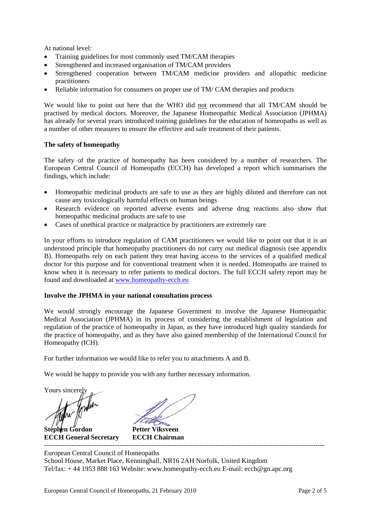At national level:

- Training guidelines for most commonly used TM/CAM therapies
- Strengthened and increased organisation of TM/CAM providers
- Strengthened cooperation between TM/CAM medicine providers and allopathic medicine practitioners
- Reliable information for consumers on proper use of TM/ CAM therapies and products

We would like to point out here that the WHO did not recommend that all TM/CAM should be practised by medical doctors. Moreover, the Japanese Homeopathic Medical Association (JPHMA) has already for several years introduced training guidelines for the education of homeopaths as well as a number of other measures to ensure the effective and safe treatment of their patients.

## **The safety of homeopathy**

The safety of the practice of homeopathy has been considered by a number of researchers. The European Central Council of Homeopaths (ECCH) has developed a report which summarises the findings, which include:

- Homeopathic medicinal products are safe to use as they are highly diluted and therefore can not cause any toxicologically harmful effects on human beings
- Research evidence on reported adverse events and adverse drug reactions also show that homeopathic medicinal products are safe to use
- Cases of unethical practice or malpractice by practitioners are extremely rare

In your efforts to introduce regulation of CAM practitioners we would like to point out that it is an understood principle that homeopathy practitioners do not carry out medical diagnosis (see appendix B). Homeopaths rely on each patient they treat having access to the services of a qualified medical doctor for this purpose and for conventional treatment when it is needed. Homeopaths are trained to know when it is necessary to refer patients to medical doctors. The full ECCH safety report may be found and downloaded at [www.homeopathy-ecch.eu](http://www.homeopathy-ecch.eu/)

## **Involve the JPHMA in your national consultation process**

We would strongly encourage the Japanese Government to involve the Japanese Homeopathic Medical Association (JPHMA) in its process of considering the establishment of legislation and regulation of the practice of homeopathy in Japan, as they have introduced high quality standards for the practice of homeopathy, and as they have also gained membership of the International Council for Homeopathy (ICH).

For further information we would like to refer you to attachments A and B.

We would be happy to provide you with any further necessary information.

Yours sincerely

Inder

**Stephen Gordon Petter Viksveen ECCH General Secretary ECCH Chairman** 

European Central Council of Homeopaths School House, Market Place, Kenninghall, NR16 2AH Norfolk, United Kingdom Tel/fax: + 44 1953 888 163 Website: [www.homeopathy-ecch.eu](http://www.homeopathy-ecch.eu/) E-mail: ecch@gn.apc.org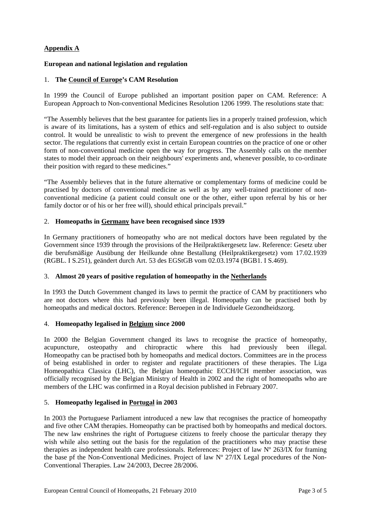# **Appendix A**

## **European and national legislation and regulation**

### 1. **The Council of Europe's CAM Resolution**

In 1999 the Council of Europe published an important position paper on CAM. Reference: A European Approach to Non-conventional Medicines Resolution 1206 1999. The resolutions state that:

"The Assembly believes that the best guarantee for patients lies in a properly trained profession, which is aware of its limitations, has a system of ethics and self-regulation and is also subject to outside control. It would be unrealistic to wish to prevent the emergence of new professions in the health sector. The regulations that currently exist in certain European countries on the practice of one or other form of non-conventional medicine open the way for progress. The Assembly calls on the member states to model their approach on their neighbours' experiments and, whenever possible, to co-ordinate their position with regard to these medicines."

"The Assembly believes that in the future alternative or complementary forms of medicine could be practised by doctors of conventional medicine as well as by any well-trained practitioner of nonconventional medicine (a patient could consult one or the other, either upon referral by his or her family doctor or of his or her free will), should ethical principals prevail."

### 2. **Homeopaths in Germany have been recognised since 1939**

In Germany practitioners of homeopathy who are not medical doctors have been regulated by the Government since 1939 through the provisions of the Heilpraktikergesetz law. Reference: Gesetz uber die berufsmäßige Ausübung der Heilkunde ohne Bestallung (Heilpraktikergesetz) vom 17.02.1939 (RGBL. I S.251), geändert durch Art. 53 des EGStGB vom 02.03.1974 (BGB1. I S.469).

## 3. **Almost 20 years of positive regulation of homeopathy in the Netherlands**

In 1993 the Dutch Government changed its laws to permit the practice of CAM by practitioners who are not doctors where this had previously been illegal. Homeopathy can be practised both by homeopaths and medical doctors. Reference: Beroepen in de Individuele Gezondheidszorg.

#### 4. **Homeopathy legalised in Belgium since 2000**

In 2000 the Belgian Government changed its laws to recognise the practice of homeopathy, acupuncture, osteopathy and chiropractic where this had previously been illegal. Homeopathy can be practised both by homeopaths and medical doctors. Committees are in the process of being established in order to register and regulate practitioners of these therapies. The Liga Homeopathica Classica (LHC), the Belgian homeopathic ECCH/ICH member association, was officially recognised by the Belgian Ministry of Health in 2002 and the right of homeopaths who are members of the LHC was confirmed in a Royal decision published in February 2007.

## 5. **Homeopathy legalised in Portugal in 2003**

In 2003 the Portuguese Parliament introduced a new law that recognises the practice of homeopathy and five other CAM therapies. Homeopathy can be practised both by homeopaths and medical doctors. The new law enshrines the right of Portuguese citizens to freely choose the particular therapy they wish while also setting out the basis for the regulation of the practitioners who may practise these therapies as independent health care professionals. References: Project of law Nº 263/IX for framing the base pf the Non-Conventional Medicines. Project of law Nº 27/IX Legal procedures of the Non-Conventional Therapies. Law 24/2003, Decree 28/2006.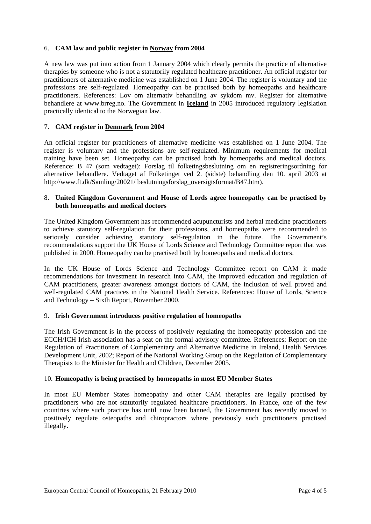## 6. **CAM law and public register in Norway from 2004**

A new law was put into action from 1 January 2004 which clearly permits the practice of alternative therapies by someone who is not a statutorily regulated healthcare practitioner. An official register for practitioners of alternative medicine was established on 1 June 2004. The register is voluntary and the professions are self-regulated. Homeopathy can be practised both by homeopaths and healthcare practitioners. References: Lov om alternativ behandling av sykdom mv. Register for alternative behandlere at [www.brreg.no](http://www.brreg.no/). The Government in **Iceland** in 2005 introduced regulatory legislation practically identical to the Norwegian law.

# 7. **CAM register in Denmark from 2004**

An official register for practitioners of alternative medicine was established on 1 June 2004. The register is voluntary and the professions are self-regulated. Minimum requirements for medical training have been set. Homeopathy can be practised both by homeopaths and medical doctors. Reference: B 47 (som vedtaget): Forslag til folketingsbeslutning om en registreringsordning for alternative behandlere. Vedtaget af Folketinget ved 2. (sidste) behandling den 10. april 2003 at http://www.ft.dk/Samling/20021/ beslutningsforslag\_oversigtsformat/B47.htm).

### 8. **United Kingdom Government and House of Lords agree homeopathy can be practised by both homeopaths and medical doctors**

The United Kingdom Government has recommended acupuncturists and herbal medicine practitioners to achieve statutory self-regulation for their professions, and homeopaths were recommended to seriously consider achieving statutory self-regulation in the future. The Government's recommendations support the UK House of Lords Science and Technology Committee report that was published in 2000. Homeopathy can be practised both by homeopaths and medical doctors.

In the UK House of Lords Science and Technology Committee report on CAM it made recommendations for investment in research into CAM, the improved education and regulation of CAM practitioners, greater awareness amongst doctors of CAM, the inclusion of well proved and well-regulated CAM practices in the National Health Service. References: House of Lords, Science and Technology – Sixth Report, November 2000.

## 9. **Irish Government introduces positive regulation of homeopaths**

The Irish Government is in the process of positively regulating the homeopathy profession and the ECCH/ICH Irish association has a seat on the formal advisory committee. References: Report on the Regulation of Practitioners of Complementary and Alternative Medicine in Ireland, Health Services Development Unit, 2002; Report of the National Working Group on the Regulation of Complementary Therapists to the Minister for Health and Children, December 2005.

## 10. **Homeopathy is being practised by homeopaths in most EU Member States**

In most EU Member States homeopathy and other CAM therapies are legally practised by practitioners who are not statutorily regulated healthcare practitioners. In France, one of the few countries where such practice has until now been banned, the Government has recently moved to positively regulate osteopaths and chiropractors where previously such practitioners practised illegally.